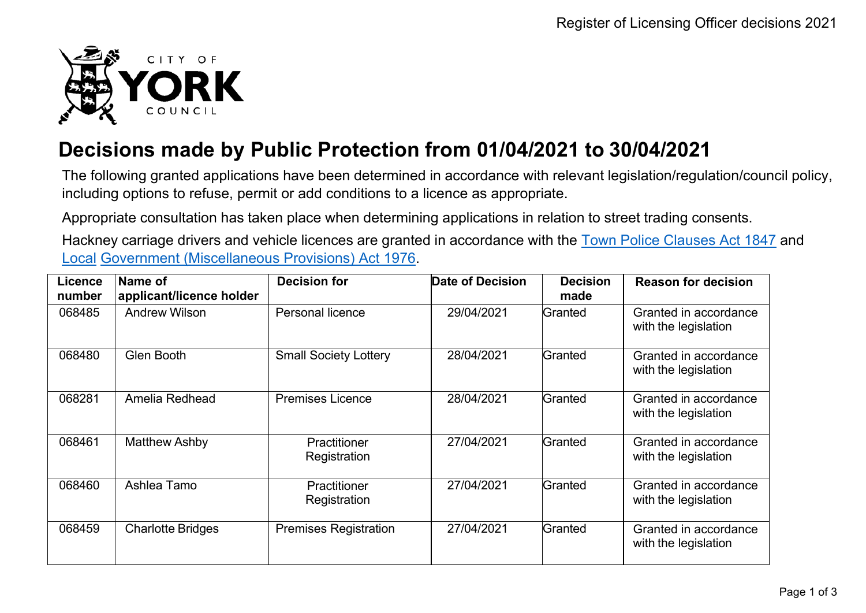

## **Decisions made by Public Protection from 01/04/2021 to 30/04/2021**

The following granted applications have been determined in accordance with relevant legislation/regulation/council policy, including options to refuse, permit or add conditions to a licence as appropriate.

Appropriate consultation has taken place when determining applications in relation to street trading consents.

Hackney carriage drivers and vehicle licences are granted in accordance with the Town Police [Clauses](http://www.legislation.gov.uk/ukpga/Vict/10-11/89) Act 1847 and [Local](http://www.legislation.gov.uk/ukpga/1976/57) [Government \(Miscellaneous Provisions\) Act 1976.](http://www.legislation.gov.uk/ukpga/1976/57)

| <b>Licence</b><br>number | Name of<br>applicant/licence holder | <b>Decision for</b>          | Date of Decision | <b>Decision</b><br>made | <b>Reason for decision</b>                    |
|--------------------------|-------------------------------------|------------------------------|------------------|-------------------------|-----------------------------------------------|
| 068485                   | <b>Andrew Wilson</b>                | Personal licence             | 29/04/2021       | Granted                 | Granted in accordance<br>with the legislation |
| 068480                   | Glen Booth                          | <b>Small Society Lottery</b> | 28/04/2021       | Granted                 | Granted in accordance<br>with the legislation |
| 068281                   | Amelia Redhead                      | <b>Premises Licence</b>      | 28/04/2021       | Granted                 | Granted in accordance<br>with the legislation |
| 068461                   | <b>Matthew Ashby</b>                | Practitioner<br>Registration | 27/04/2021       | Granted                 | Granted in accordance<br>with the legislation |
| 068460                   | Ashlea Tamo                         | Practitioner<br>Registration | 27/04/2021       | Granted                 | Granted in accordance<br>with the legislation |
| 068459                   | <b>Charlotte Bridges</b>            | <b>Premises Registration</b> | 27/04/2021       | Granted                 | Granted in accordance<br>with the legislation |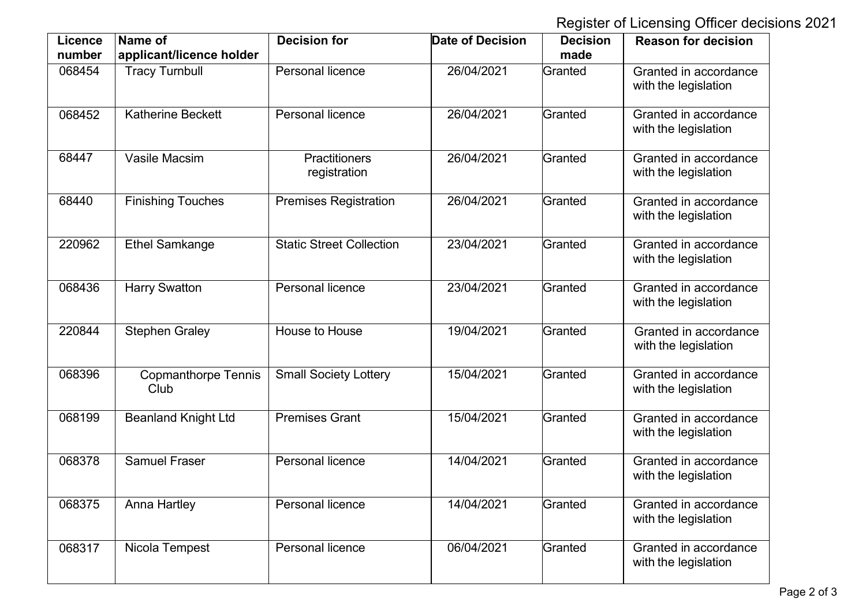Register of Licensing Officer decisions 2021

| <b>Licence</b><br>number | Name of<br>applicant/licence holder | <b>Decision for</b>                  | <b>Date of Decision</b> | <b>Decision</b><br>made | <b>Reason for decision</b>                    |
|--------------------------|-------------------------------------|--------------------------------------|-------------------------|-------------------------|-----------------------------------------------|
| 068454                   | <b>Tracy Turnbull</b>               | Personal licence                     | 26/04/2021              | Granted                 | Granted in accordance<br>with the legislation |
| 068452                   | <b>Katherine Beckett</b>            | Personal licence                     | 26/04/2021              | Granted                 | Granted in accordance<br>with the legislation |
| 68447                    | Vasile Macsim                       | <b>Practitioners</b><br>registration | 26/04/2021              | Granted                 | Granted in accordance<br>with the legislation |
| 68440                    | <b>Finishing Touches</b>            | <b>Premises Registration</b>         | 26/04/2021              | Granted                 | Granted in accordance<br>with the legislation |
| 220962                   | <b>Ethel Samkange</b>               | <b>Static Street Collection</b>      | 23/04/2021              | Granted                 | Granted in accordance<br>with the legislation |
| 068436                   | <b>Harry Swatton</b>                | Personal licence                     | 23/04/2021              | Granted                 | Granted in accordance<br>with the legislation |
| 220844                   | <b>Stephen Graley</b>               | House to House                       | 19/04/2021              | Granted                 | Granted in accordance<br>with the legislation |
| 068396                   | <b>Copmanthorpe Tennis</b><br>Club  | <b>Small Society Lottery</b>         | 15/04/2021              | Granted                 | Granted in accordance<br>with the legislation |
| 068199                   | <b>Beanland Knight Ltd</b>          | <b>Premises Grant</b>                | 15/04/2021              | Granted                 | Granted in accordance<br>with the legislation |
| 068378                   | <b>Samuel Fraser</b>                | Personal licence                     | 14/04/2021              | Granted                 | Granted in accordance<br>with the legislation |
| 068375                   | Anna Hartley                        | Personal licence                     | 14/04/2021              | Granted                 | Granted in accordance<br>with the legislation |
| 068317                   | Nicola Tempest                      | Personal licence                     | 06/04/2021              | Granted                 | Granted in accordance<br>with the legislation |